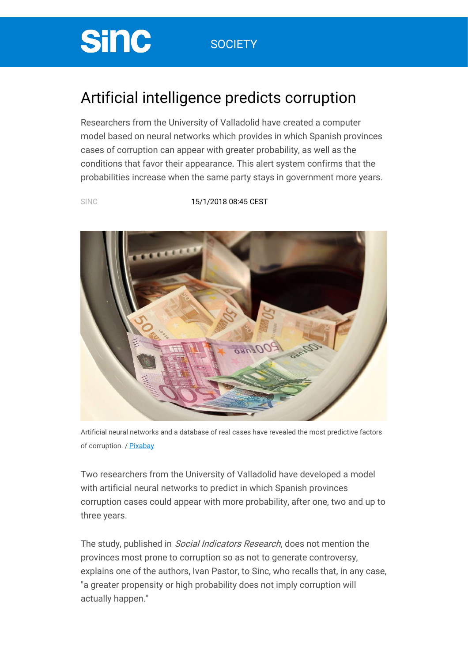## **SOCIETY**

## Artificial intelligence predicts corruption

Researchers from the University of Valladolid have created a computer model based on neural networks which provides in which Spanish provinces cases of corruption can appear with greater probability, as well as the conditions that favor their appearance. This alert system confirms that the probabilities increase when the same party stays in government more years.

**Sinc** 

SINC [15/1/2018](https://www.agenciasinc.es/en/articulos-del-dia/15-01-18) 08:45 CEST



Artificial neural networks and a database of real cases have revealed the most predictive factors of corruption. / [Pixabay](https://pixabay.com/es/dinero-euro-lavado-billetes-1050403/)

Two researchers from the University of Valladolid have developed a model with artificial neural networks to predict in which Spanish provinces corruption cases could appear with more probability, after one, two and up to three years.

The study, published in *Social Indicators Research*, does not mention the provinces most prone to corruption so as not to generate controversy, explains one of the authors, Ivan Pastor, to Sinc, who recalls that, in any case, "a greater propensity or high probability does not imply corruption will actually happen."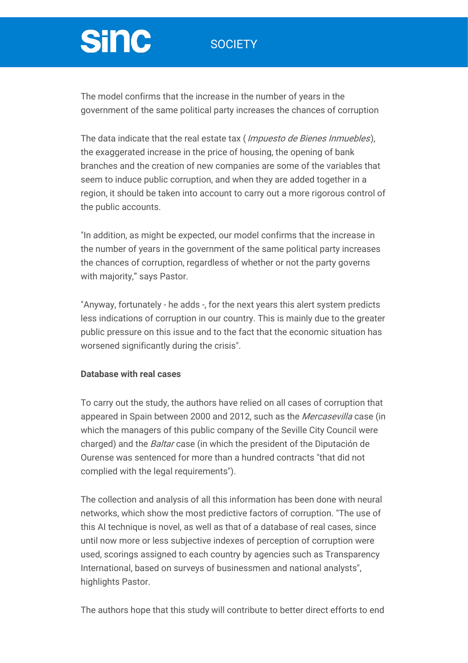### **SOCIETY**

# **Sinc**

The model confirms that the increase in the number of years in the government of the same political party increases the chances of corruption

The data indicate that the real estate tax (*Impuesto de Bienes Inmuebles*), the exaggerated increase in the price of housing, the opening of bank branches and the creation of new companies are some of the variables that seem to induce public corruption, and when they are added together in a region, it should be taken into account to carry out a more rigorous control of the public accounts.

"In addition, as might be expected, our model confirms that the increase in the number of years in the government of the same political party increases the chances of corruption, regardless of whether or not the party governs with majority," says Pastor.

"Anyway, fortunately - he adds -, for the next years this alert system predicts less indications of corruption in our country. This is mainly due to the greater public pressure on this issue and to the fact that the economic situation has worsened significantly during the crisis".

#### **Database with real cases**

To carry out the study, the authors have relied on all cases of corruption that appeared in Spain between 2000 and 2012, such as the Mercasevilla case (in which the managers of this public company of the Seville City Council were charged) and the Baltar case (in which the president of the Diputación de Ourense was sentenced for more than a hundred contracts "that did not complied with the legal requirements").

The collection and analysis of all this information has been done with neural networks, which show the most predictive factors of corruption. "The use of this AI technique is novel, as well as that of a database of real cases, since until now more or less subjective indexes of perception of corruption were used, scorings assigned to each country by agencies such as Transparency International, based on surveys of businessmen and national analysts", highlights Pastor.

The authors hope that this study will contribute to better direct efforts to end